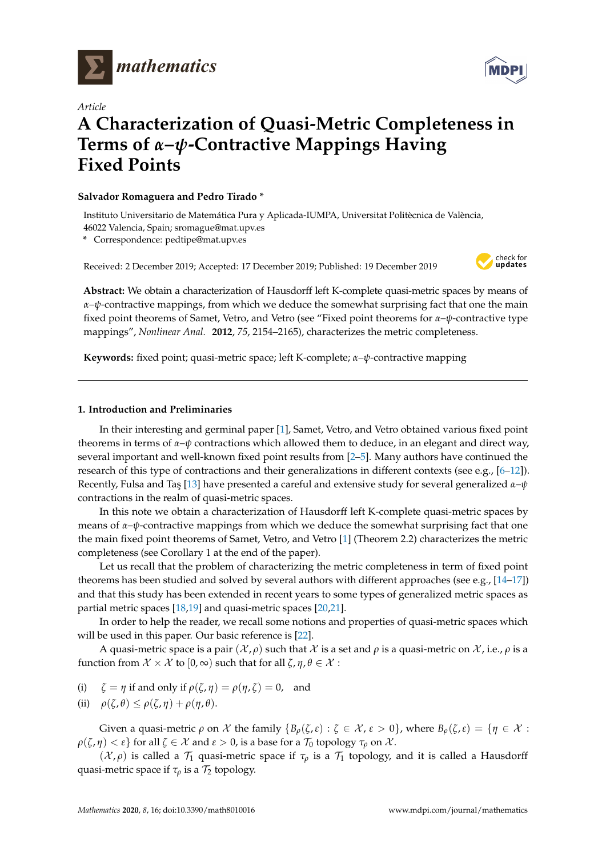



# *Article* **A Characterization of Quasi-Metric Completeness in Terms of** *α***–***ψ***-Contractive Mappings Having Fixed Points**

#### **Salvador Romaguera and Pedro Tirado \***

Instituto Universitario de Matemática Pura y Aplicada-IUMPA, Universitat Politècnica de València, 46022 Valencia, Spain; sromague@mat.upv.es

**\*** Correspondence: pedtipe@mat.upv.es

Received: 2 December 2019; Accepted: 17 December 2019; Published: 19 December 2019



**Abstract:** We obtain a characterization of Hausdorff left K-complete quasi-metric spaces by means of *α*–*ψ*-contractive mappings, from which we deduce the somewhat surprising fact that one the main fixed point theorems of Samet, Vetro, and Vetro (see "Fixed point theorems for *α*–*ψ*-contractive type mappings", *Nonlinear Anal.* **2012**, *75*, 2154–2165), characterizes the metric completeness.

**Keywords:** fixed point; quasi-metric space; left K-complete; *α*–*ψ*-contractive mapping

## **1. Introduction and Preliminaries**

In their interesting and germinal paper [\[1\]](#page-4-0), Samet, Vetro, and Vetro obtained various fixed point theorems in terms of *α*–*ψ* contractions which allowed them to deduce, in an elegant and direct way, several important and well-known fixed point results from [\[2](#page-4-1)[–5\]](#page-4-2). Many authors have continued the research of this type of contractions and their generalizations in different contexts (see e.g., [\[6](#page-4-3)[–12\]](#page-4-4)). Recently, Fulsa and Taş [\[13\]](#page-4-5) have presented a careful and extensive study for several generalized *α*-*ψ* contractions in the realm of quasi-metric spaces.

In this note we obtain a characterization of Hausdorff left K-complete quasi-metric spaces by means of *α*–*ψ*-contractive mappings from which we deduce the somewhat surprising fact that one the main fixed point theorems of Samet, Vetro, and Vetro [\[1\]](#page-4-0) (Theorem 2.2) characterizes the metric completeness (see Corollary 1 at the end of the paper).

Let us recall that the problem of characterizing the metric completeness in term of fixed point theorems has been studied and solved by several authors with different approaches (see e.g., [\[14](#page-4-6)[–17\]](#page-4-7)) and that this study has been extended in recent years to some types of generalized metric spaces as partial metric spaces [\[18,](#page-4-8)[19\]](#page-4-9) and quasi-metric spaces [\[20,](#page-4-10)[21\]](#page-4-11).

In order to help the reader, we recall some notions and properties of quasi-metric spaces which will be used in this paper. Our basic reference is [\[22\]](#page-4-12).

A quasi-metric space is a pair  $(\mathcal{X}, \rho)$  such that  $\mathcal X$  is a set and  $\rho$  is a quasi-metric on  $\mathcal X$ , i.e.,  $\rho$  is a function from  $\mathcal{X} \times \mathcal{X}$  to  $[0, \infty)$  such that for all  $\zeta, \eta, \theta \in \mathcal{X}$ :

(i)  $\zeta = \eta$  if and only if  $\rho(\zeta, \eta) = \rho(\eta, \zeta) = 0$ , and

(ii) 
$$
\rho(\zeta,\theta) \leq \rho(\zeta,\eta) + \rho(\eta,\theta).
$$

Given a quasi-metric  $\rho$  on  $\mathcal X$  the family  $\{B_\rho(\zeta,\varepsilon): \zeta \in \mathcal X, \varepsilon > 0\}$ , where  $B_\rho(\zeta,\varepsilon) = \{\eta \in \mathcal X:$  $\rho(\zeta, \eta) < \varepsilon$ } for all  $\zeta \in \mathcal{X}$  and  $\varepsilon > 0$ , is a base for a  $\mathcal{T}_0$  topology  $\tau_\rho$  on  $\mathcal{X}$ .

 $({\mathcal X}, \rho)$  is called a  $\mathcal{T}_1$  quasi-metric space if  $\tau_\rho$  is a  $\mathcal{T}_1$  topology, and it is called a Hausdorff quasi-metric space if  $\tau_\rho$  is a  $\mathcal{T}_2$  topology.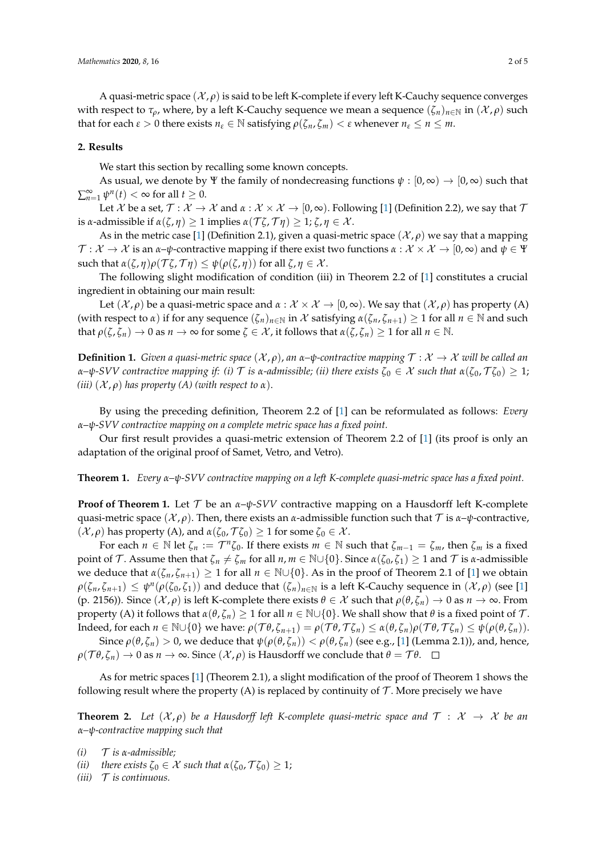A quasi-metric space  $(\mathcal{X}, \rho)$  is said to be left K-complete if every left K-Cauchy sequence converges with respect to  $\tau_\rho$ , where, by a left K-Cauchy sequence we mean a sequence  $(\zeta_n)_{n\in\mathbb{N}}$  in  $(\mathcal{X}, \rho)$  such that for each  $\varepsilon > 0$  there exists  $n_{\varepsilon} \in \mathbb{N}$  satisfying  $\rho(\zeta_n, \zeta_m) < \varepsilon$  whenever  $n_{\varepsilon} \le n \le m$ .

#### **2. Results**

We start this section by recalling some known concepts.

As usual, we denote by Ψ the family of nondecreasing functions  $\psi : [0, \infty) \to [0, \infty)$  such that  $\sum_{n=1}^{\infty} \psi^n(t) < \infty$  for all  $t \geq 0$ .

Let X be a set,  $\mathcal{T}: \mathcal{X} \to \mathcal{X}$  and  $\alpha: \mathcal{X} \times \mathcal{X} \to [0,\infty)$ . Following [\[1\]](#page-4-0) (Definition 2.2), we say that  $\mathcal{T}$ is *α*-admissible if *α*(*ζ*, *η*) ≥ 1 implies *α*( $\tau$ *ζ*,  $\tau$ *η*) ≥ 1; *ζ*, *η* ∈ *X*.

As in the metric case [\[1\]](#page-4-0) (Definition 2.1), given a quasi-metric space  $(\mathcal{X}, \rho)$  we say that a mapping  $\mathcal{T}: \mathcal{X} \to \mathcal{X}$  is an  $\alpha$ – $\psi$ -contractive mapping if there exist two functions  $\alpha: \mathcal{X} \times \mathcal{X} \to [0,\infty)$  and  $\psi \in \Psi$ such that  $\alpha(\zeta, \eta) \rho(\mathcal{T}\zeta, \mathcal{T}\eta) \leq \psi(\rho(\zeta, \eta))$  for all  $\zeta, \eta \in \mathcal{X}$ .

The following slight modification of condition (iii) in Theorem 2.2 of [\[1\]](#page-4-0) constitutes a crucial ingredient in obtaining our main result:

Let  $(\mathcal{X}, \rho)$  be a quasi-metric space and  $\alpha : \mathcal{X} \times \mathcal{X} \to [0, \infty)$ . We say that  $(\mathcal{X}, \rho)$  has property (A) (with respect to *α*) if for any sequence  $(\zeta_n)_{n\in\mathbb{N}}$  in X satisfying  $\alpha(\zeta_n,\zeta_{n+1})\geq 1$  for all  $n\in\mathbb{N}$  and such that  $\rho(\zeta, \zeta_n) \to 0$  as  $n \to \infty$  for some  $\zeta \in \mathcal{X}$ , it follows that  $\alpha(\zeta, \zeta_n) \geq 1$  for all  $n \in \mathbb{N}$ .

**Definition 1.** *Given a quasi-metric space*  $(\mathcal{X}, \rho)$ , *an*  $\alpha$ - $\psi$ -contractive mapping  $\mathcal{T} : \mathcal{X} \to \mathcal{X}$  will be called an *α*–*ψ*-*SVV* contractive mapping if: (i) T is *α*-admissible; (ii) there exists  $\zeta_0 \in X$  such that  $\alpha(\zeta_0, \mathcal{T}\zeta_0) \geq 1$ ; *(iii)*  $(X, \rho)$  *has property (A) (with respect to*  $\alpha$ ).

By using the preceding definition, Theorem 2.2 of [\[1\]](#page-4-0) can be reformulated as follows: *Every α*–*ψ*-*SVV contractive mapping on a complete metric space has a fixed point.*

Our first result provides a quasi-metric extension of Theorem 2.2 of [\[1\]](#page-4-0) (its proof is only an adaptation of the original proof of Samet, Vetro, and Vetro).

**Theorem 1.** *Every α–ψ-SVV contractive mapping on a left K-complete quasi-metric space has a fixed point.*

**Proof of Theorem 1.** Let T be an *α*–*ψ*-*SVV* contractive mapping on a Hausdorff left K-complete quasi-metric space  $(\mathcal{X}, \rho)$ . Then, there exists an *α*-admissible function such that  $\mathcal{T}$  is  $\alpha$ - $\psi$ -contractive,  $(x, ρ)$  has property (A), and *α*( $ζ₀$ ,  $Tζ₀$ ) ≥ 1 for some  $ζ₀ ∈ X$ .

For each  $n \in \mathbb{N}$  let  $\zeta_n := \mathcal{T}^n \zeta_0$ . If there exists  $m \in \mathbb{N}$  such that  $\zeta_{m-1} = \zeta_m$ , then  $\zeta_m$  is a fixed point of T. Assume then that  $\zeta_n \neq \zeta_m$  for all  $n, m \in \mathbb{N} \cup \{0\}$ . Since  $\alpha(\zeta_0, \zeta_1) \geq 1$  and T is *α*-admissible we deduce that  $\alpha(\zeta_n, \zeta_{n+1}) \geq 1$  for all  $n \in \mathbb{N} \cup \{0\}$ . As in the proof of Theorem 2.1 of [\[1\]](#page-4-0) we obtain  $\rho(\zeta_n,\zeta_{n+1}) \leq \psi^n(\rho(\zeta_0,\zeta_1))$  and deduce that  $(\zeta_n)_{n\in\mathbb{N}}$  is a left K-Cauchy sequence in  $(\mathcal{X},\rho)$  (see [\[1\]](#page-4-0) (p. 2156)). Since  $(\mathcal{X}, \rho)$  is left K-complete there exists  $\theta \in \mathcal{X}$  such that  $\rho(\theta, \zeta_n) \to 0$  as  $n \to \infty$ . From property (A) it follows that *α*(*θ*,  $ζ$ *n*) ≥ 1 for all *n* ∈ N∪{0}. We shall show that *θ* is a fixed point of *T*. Indeed, for each  $n \in \mathbb{N} \cup \{0\}$  we have:  $\rho(\mathcal{T}\theta, \zeta_{n+1}) = \rho(\mathcal{T}\theta, \mathcal{T}\zeta_n) \leq \alpha(\theta, \zeta_n)\rho(\mathcal{T}\theta, \mathcal{T}\zeta_n) \leq \psi(\rho(\theta, \zeta_n)).$ 

Since  $ρ(θ, ζ<sub>n</sub>) > 0$ , we deduce that  $ψ(ρ(θ, ζ<sub>n</sub>)) < ρ(θ, ζ<sub>n</sub>)$  (see e.g., [\[1\]](#page-4-0) (Lemma 2.1)), and, hence,  $\rho(\mathcal{T}\theta,\zeta_n)\to 0$  as  $n\to\infty$ . Since  $(\mathcal{X},\rho)$  is Hausdorff we conclude that  $\theta=\mathcal{T}\theta$ .  $\Box$ 

As for metric spaces [\[1\]](#page-4-0) (Theorem 2.1), a slight modification of the proof of Theorem 1 shows the following result where the property (A) is replaced by continuity of  $\mathcal T$ . More precisely we have

**Theorem 2.** Let  $(X, \rho)$  be a Hausdorff left K-complete quasi-metric space and  $\mathcal{T}: X \rightarrow X$  be an *α–ψ-contractive mapping such that*

- $(i)$  *T is*  $\alpha$ -*admissible:*
- *(ii) there exists*  $\zeta_0 \in \mathcal{X}$  *such that*  $\alpha(\zeta_0, \mathcal{T}\zeta_0) \geq 1$ ;
- $(iii)$  *T is continuous.*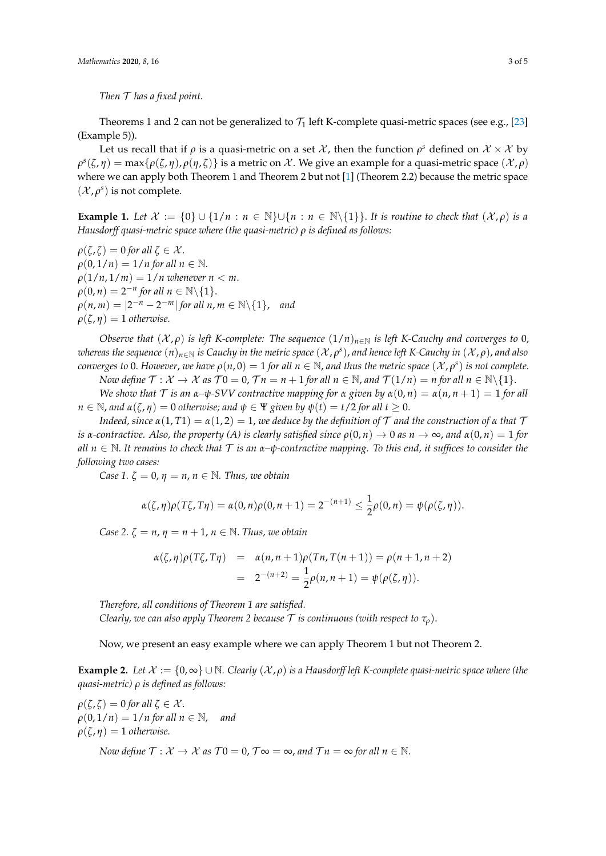*Then* T *has a fixed point.*

Theorems 1 and 2 can not be generalized to  $\mathcal{T}_1$  left K-complete quasi-metric spaces (see e.g., [\[23\]](#page-4-13) (Example 5)).

Let us recall that if  $\rho$  is a quasi-metric on a set  $\mathcal X$ , then the function  $\rho^s$  defined on  $\mathcal X\times \mathcal X$  by  $ρ<sup>s</sup>(ζ, η) = max{ρ(ζ, η), ρ(η, ζ)}$  is a metric on X. We give an example for a quasi-metric space  $(X, ρ)$ where we can apply both Theorem 1 and Theorem 2 but not [\[1\]](#page-4-0) (Theorem 2.2) because the metric space  $(\mathcal{X}, \rho^s)$  is not complete.

**Example 1.** *Let*  $\mathcal{X} := \{0\} \cup \{1/n : n \in \mathbb{N}\} \cup \{n : n \in \mathbb{N}\{1\}\}\$ . *It is routine to check that*  $(\mathcal{X}, \rho)$  *is a Hausdorff quasi-metric space where (the quasi-metric) ρ is defined as follows:*

 $\rho(\zeta,\zeta) = 0$  *for all*  $\zeta \in \mathcal{X}$ .  $\rho(0, 1/n) = 1/n$  for all  $n \in \mathbb{N}$ .  $\rho(1/n, 1/m) = 1/n$  whenever  $n < m$ .  $\rho(0, n) = 2^{-n}$  for all  $n \in \mathbb{N} \backslash \{1\}.$  $\rho(n,m) = |2^{-n} - 2^{-m}|$  *for all n*,  $m \in \mathbb{N} \setminus \{1\}$ , *and*  $\rho(\zeta,\eta) = 1$  *otherwise.* 

*Observe that*  $(\mathcal{X}, \rho)$  *is left K-complete: The sequence*  $(1/n)_{n \in \mathbb{N}}$  *is left K-Cauchy and converges to* 0, *whereas the sequence* (*n*)*n*∈<sup>N</sup> *is Cauchy in the metric space* (X , *ρ s* ), *and hence left K-Cauchy in* (X , *ρ*), *and also converges to* 0. However, we have  $\rho(n,0) = 1$  for all  $n \in \mathbb{N}$ , and thus the metric space  $(\mathcal{X}, \rho^s)$  is not complete. *Now define*  $\mathcal{T}: \mathcal{X} \to \mathcal{X}$  *as*  $\mathcal{T}0 = 0$ ,  $\mathcal{T}n = n + 1$  *for all*  $n \in \mathbb{N}$ , and  $\mathcal{T}(1/n) = n$  *for all*  $n \in \mathbb{N} \setminus \{1\}$ .

*We show that*  $\mathcal T$  *is an*  $\alpha$ - $\psi$ -SVV contractive mapping for  $\alpha$  given by  $\alpha(0, n) = \alpha(n, n + 1) = 1$  for all  $n \in \mathbb{N}$ , and  $\alpha(\zeta, \eta) = 0$  otherwise; and  $\psi \in \Psi$  given by  $\psi(t) = t/2$  for all  $t \geq 0$ .

*Indeed, since*  $\alpha(1, T1) = \alpha(1, 2) = 1$ , *we deduce by the definition of* T *and the construction of*  $\alpha$  *that*  $T$ *is α*-contractive. Also, the property (A) is clearly satisfied since  $\rho(0, n) \to 0$  as  $n \to \infty$ , and  $\alpha(0, n) = 1$  for *all*  $n \in \mathbb{N}$ . It remains to check that  $\mathcal T$  *is an*  $\alpha$ – $\psi$ -contractive mapping. To this end, it suffices to consider the *following two cases:*

*Case 1.*  $\zeta = 0$ ,  $\eta = n$ ,  $n \in \mathbb{N}$ . Thus, we obtain

$$
\alpha(\zeta,\eta)\rho(T\zeta,T\eta) = \alpha(0,n)\rho(0,n+1) = 2^{-(n+1)} \leq \frac{1}{2}\rho(0,n) = \psi(\rho(\zeta,\eta)).
$$

*Case 2.*  $\zeta = n$ ,  $\eta = n + 1$ ,  $n \in \mathbb{N}$ . *Thus, we obtain* 

$$
\alpha(\zeta,\eta)\rho(T\zeta,T\eta) = \alpha(n,n+1)\rho(Tn,T(n+1)) = \rho(n+1,n+2)
$$
  
= 
$$
2^{-(n+2)} = \frac{1}{2}\rho(n,n+1) = \psi(\rho(\zeta,\eta)).
$$

*Therefore, all conditions of Theorem 1 are satisfied. Clearly, we can also apply Theorem 2 because*  $\mathcal T$  *is continuous (with respect to*  $\tau_{\rho}$ ).

Now, we present an easy example where we can apply Theorem 1 but not Theorem 2.

**Example 2.** Let  $\mathcal{X} := \{0, \infty\} \cup \mathbb{N}$ . Clearly  $(\mathcal{X}, \rho)$  is a Hausdorff left K-complete quasi-metric space where (the *quasi-metric) ρ is defined as follows:*

 $\rho(\zeta,\zeta) = 0$  *for all*  $\zeta \in \mathcal{X}$ .  $\rho(0, 1/n) = 1/n$  for all  $n \in \mathbb{N}$ , and  $\rho(\zeta, \eta) = 1$  *otherwise.* 

*Now define*  $\mathcal{T}: \mathcal{X} \to \mathcal{X}$  *as*  $\mathcal{T}0 = 0$ ,  $\mathcal{T} \infty = \infty$ , and  $\mathcal{T} n = \infty$  for all  $n \in \mathbb{N}$ .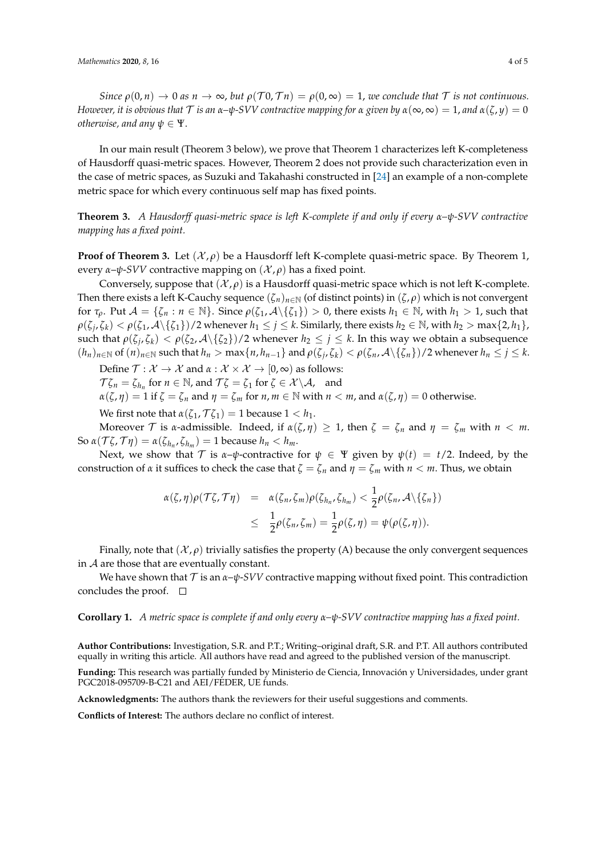*Since*  $\rho(0,n) \to 0$  *as*  $n \to \infty$ , *but*  $\rho(\mathcal{T}0,\mathcal{T}n) = \rho(0,\infty) = 1$ , *we conclude that*  $\mathcal{T}$  *is not continuous. However, it is obvious that*  $\mathcal T$  *is an*  $\alpha$ - $\psi$ -SVV contractive mapping for  $\alpha$  given by  $\alpha(\infty, \infty) = 1$ , and  $\alpha(\zeta, \gamma) = 0$ *otherwise, and any*  $\psi \in \Psi$ .

In our main result (Theorem 3 below), we prove that Theorem 1 characterizes left K-completeness of Hausdorff quasi-metric spaces. However, Theorem 2 does not provide such characterization even in the case of metric spaces, as Suzuki and Takahashi constructed in [\[24\]](#page-4-14) an example of a non-complete metric space for which every continuous self map has fixed points.

**Theorem 3.** *A Hausdorff quasi-metric space is left K-complete if and only if every α–ψ-SVV contractive mapping has a fixed point.*

**Proof of Theorem 3.** Let  $(\mathcal{X}, \rho)$  be a Hausdorff left K-complete quasi-metric space. By Theorem 1, every  $\alpha$ – $\psi$ -*SVV* contractive mapping on  $(\mathcal{X}, \rho)$  has a fixed point.

Conversely, suppose that  $(\mathcal{X}, \rho)$  is a Hausdorff quasi-metric space which is not left K-complete. Then there exists a left K-Cauchy sequence  $(\zeta_n)_{n\in\mathbb{N}}$  (of distinct points) in  $(\zeta, \rho)$  which is not convergent for  $\tau_\rho$ . Put  $\mathcal{A} = \{\zeta_n : n \in \mathbb{N}\}\$ . Since  $\rho(\zeta_1, \mathcal{A} \setminus \{\zeta_1\}) > 0$ , there exists  $h_1 \in \mathbb{N}$ , with  $h_1 > 1$ , such that  $\rho(\zeta_j,\zeta_k)<\rho(\zeta_1,\mathcal{A}\setminus\{\zeta_1\})/2$  whenever  $h_1\leq j\leq k$ . Similarly, there exists  $h_2\in\mathbb{N}$ , with  $h_2> \max\{2,h_1\}$ , such that  $\rho(\zeta_j,\zeta_k)<\rho(\zeta_2,\mathcal{A}\setminus\{\zeta_2\})/2$  whenever  $h_2\leq j\leq k$ . In this way we obtain a subsequence  $(h_n)_{n\in\mathbb{N}}$  of  $(n)_{n\in\mathbb{N}}$  such that  $h_n > \max\{n,h_{n-1}\}$  and  $\rho(\zeta_j,\zeta_k) < \rho(\zeta_n,\mathcal{A}\setminus\{\zeta_n\})/2$  whenever  $h_n \leq j \leq k$ .

Define  $\mathcal{T} : \mathcal{X} \to \mathcal{X}$  and  $\alpha : \mathcal{X} \times \mathcal{X} \to [0, \infty)$  as follows:  $\mathcal{T}\zeta_n = \zeta_{h_n}$  for  $n \in \mathbb{N}$ , and  $\mathcal{T}\zeta = \zeta_1$  for  $\zeta \in \mathcal{X} \setminus \mathcal{A}$ , and

 $\alpha(\zeta, \eta) = 1$  if  $\zeta = \zeta_n$  and  $\eta = \zeta_m$  for  $n, m \in \mathbb{N}$  with  $n < m$ , and  $\alpha(\zeta, \eta) = 0$  otherwise.

We first note that  $\alpha(\zeta_1, \mathcal{T}\zeta_1) = 1$  because  $1 < h_1$ .

Moreover T is *α*-admissible. Indeed, if  $\alpha(\zeta, \eta) \geq 1$ , then  $\zeta = \zeta_n$  and  $\eta = \zeta_m$  with  $n < m$ . So  $\alpha(\mathcal{T}\zeta,\mathcal{T}\eta) = \alpha(\zeta_{h_n},\zeta_{h_m}) = 1$  because  $h_n < h_m$ .

Next, we show that  $\mathcal T$  is  $\alpha-\psi$ -contractive for  $\psi \in \Psi$  given by  $\psi(t) = t/2$ . Indeed, by the construction of *α* it suffices to check the case that  $\zeta = \zeta_n$  and  $\eta = \zeta_m$  with  $n < m$ . Thus, we obtain

$$
\alpha(\zeta,\eta)\rho(\mathcal{T}\zeta,\mathcal{T}\eta) = \alpha(\zeta_n,\zeta_m)\rho(\zeta_{h_n},\zeta_{h_m}) < \frac{1}{2}\rho(\zeta_n,\mathcal{A}\setminus\{\zeta_n\}) \leq \frac{1}{2}\rho(\zeta_n,\zeta_m) = \frac{1}{2}\rho(\zeta,\eta) = \psi(\rho(\zeta,\eta)).
$$

Finally, note that  $(\mathcal{X}, \rho)$  trivially satisfies the property (A) because the only convergent sequences in  $A$  are those that are eventually constant.

We have shown that  $\mathcal T$  is an  $\alpha-\psi$ -*SVV* contractive mapping without fixed point. This contradiction concludes the proof.  $\square$ 

**Corollary 1.** *A metric space is complete if and only every α–ψ-SVV contractive mapping has a fixed point.*

**Author Contributions:** Investigation, S.R. and P.T.; Writing–original draft, S.R. and P.T. All authors contributed equally in writing this article. All authors have read and agreed to the published version of the manuscript.

**Funding:** This research was partially funded by Ministerio de Ciencia, Innovación y Universidades, under grant PGC2018-095709-B-C21 and AEI/FEDER, UE funds.

**Acknowledgments:** The authors thank the reviewers for their useful suggestions and comments.

**Conflicts of Interest:** The authors declare no conflict of interest.